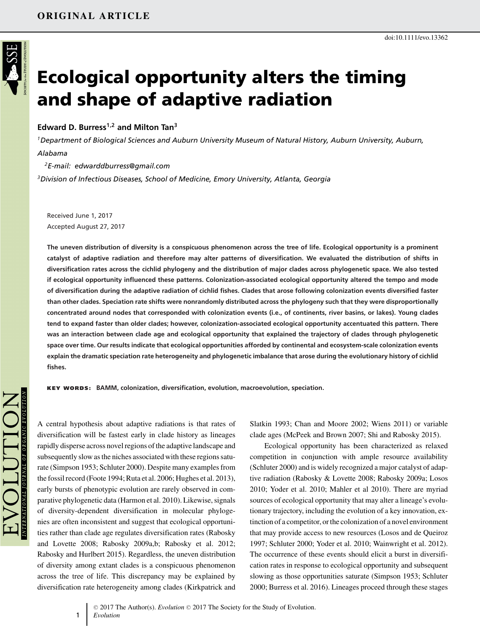# **Ecological opportunity alters the timing and shape of adaptive radiation**

# **Edward D. Burress1,2 and Milton Tan<sup>3</sup>**

*1Department of Biological Sciences and Auburn University Museum of Natural History, Auburn University, Auburn, Alabama*

*2E-mail: edwarddburress@gmail.com 3Division of Infectious Diseases, School of Medicine, Emory University, Atlanta, Georgia*

Received June 1, 2017 Accepted August 27, 2017

**The uneven distribution of diversity is a conspicuous phenomenon across the tree of life. Ecological opportunity is a prominent catalyst of adaptive radiation and therefore may alter patterns of diversification. We evaluated the distribution of shifts in diversification rates across the cichlid phylogeny and the distribution of major clades across phylogenetic space. We also tested if ecological opportunity influenced these patterns. Colonization-associated ecological opportunity altered the tempo and mode of diversification during the adaptive radiation of cichlid fishes. Clades that arose following colonization events diversified faster than other clades. Speciation rate shifts were nonrandomly distributed across the phylogeny such that they were disproportionally concentrated around nodes that corresponded with colonization events (i.e., of continents, river basins, or lakes). Young clades tend to expand faster than older clades; however, colonization-associated ecological opportunity accentuated this pattern. There was an interaction between clade age and ecological opportunity that explained the trajectory of clades through phylogenetic space over time. Our results indicate that ecological opportunities afforded by continental and ecosystem-scale colonization events explain the dramatic speciation rate heterogeneity and phylogenetic imbalance that arose during the evolutionary history of cichlid fishes.**

**KEY WORDS: BAMM, colonization, diversification, evolution, macroevolution, speciation.**

A central hypothesis about adaptive radiations is that rates of diversification will be fastest early in clade history as lineages rapidly disperse across novel regions of the adaptive landscape and subsequently slow as the niches associated with these regions saturate (Simpson 1953; Schluter 2000). Despite many examples from the fossil record (Foote 1994; Ruta et al. 2006; Hughes et al. 2013), early bursts of phenotypic evolution are rarely observed in comparative phylogenetic data (Harmon et al. 2010). Likewise, signals of diversity-dependent diversification in molecular phylogenies are often inconsistent and suggest that ecological opportunities rather than clade age regulates diversification rates (Rabosky and Lovette 2008; Rabosky 2009a,b; Rabosky et al. 2012; Rabosky and Hurlbert 2015). Regardless, the uneven distribution of diversity among extant clades is a conspicuous phenomenon across the tree of life. This discrepancy may be explained by diversification rate heterogeneity among clades (Kirkpatrick and

1

Slatkin 1993; Chan and Moore 2002; Wiens 2011) or variable clade ages (McPeek and Brown 2007; Shi and Rabosky 2015).

Ecological opportunity has been characterized as relaxed competition in conjunction with ample resource availability (Schluter 2000) and is widely recognized a major catalyst of adaptive radiation (Rabosky & Lovette 2008; Rabosky 2009a; Losos 2010; Yoder et al. 2010; Mahler et al 2010). There are myriad sources of ecological opportunity that may alter a lineage's evolutionary trajectory, including the evolution of a key innovation, extinction of a competitor, or the colonization of a novel environment that may provide access to new resources (Losos and de Queiroz 1997; Schluter 2000; Yoder et al. 2010; Wainwright et al. 2012). The occurrence of these events should elicit a burst in diversification rates in response to ecological opportunity and subsequent slowing as those opportunities saturate (Simpson 1953; Schluter 2000; Burress et al. 2016). Lineages proceed through these stages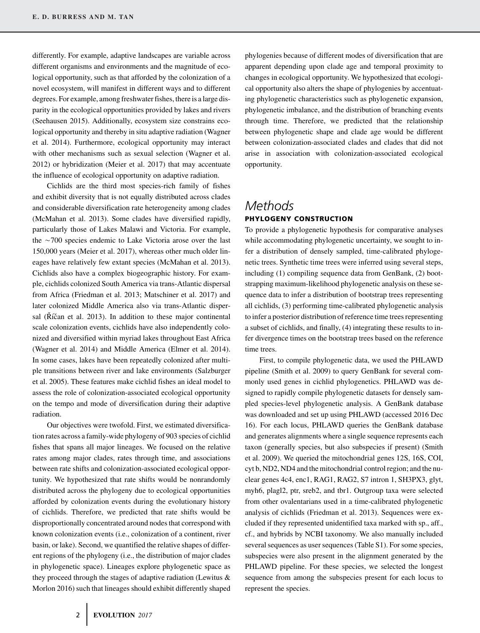differently. For example, adaptive landscapes are variable across different organisms and environments and the magnitude of ecological opportunity, such as that afforded by the colonization of a novel ecosystem, will manifest in different ways and to different degrees. For example, among freshwater fishes, there is a large disparity in the ecological opportunities provided by lakes and rivers (Seehausen 2015). Additionally, ecosystem size constrains ecological opportunity and thereby in situ adaptive radiation (Wagner et al. 2014). Furthermore, ecological opportunity may interact with other mechanisms such as sexual selection (Wagner et al. 2012) or hybridization (Meier et al. 2017) that may accentuate the influence of ecological opportunity on adaptive radiation.

Cichlids are the third most species-rich family of fishes and exhibit diversity that is not equally distributed across clades and considerable diversification rate heterogeneity among clades (McMahan et al. 2013). Some clades have diversified rapidly, particularly those of Lakes Malawi and Victoria. For example, the  $\sim$  700 species endemic to Lake Victoria arose over the last 150,000 years (Meier et al. 2017), whereas other much older lineages have relatively few extant species (McMahan et al. 2013). Cichlids also have a complex biogeographic history. For example, cichlids colonized South America via trans-Atlantic dispersal from Africa (Friedman et al. 2013; Matschiner et al. 2017) and later colonized Middle America also via trans-Atlantic dispersal ( $\check{R}$ íčan et al. 2013). In addition to these major continental scale colonization events, cichlids have also independently colonized and diversified within myriad lakes throughout East Africa (Wagner et al. 2014) and Middle America (Elmer et al. 2014). In some cases, lakes have been repeatedly colonized after multiple transitions between river and lake environments (Salzburger et al. 2005). These features make cichlid fishes an ideal model to assess the role of colonization-associated ecological opportunity on the tempo and mode of diversification during their adaptive radiation.

Our objectives were twofold. First, we estimated diversification rates across a family-wide phylogeny of 903 species of cichlid fishes that spans all major lineages. We focused on the relative rates among major clades, rates through time, and associations between rate shifts and colonization-associated ecological opportunity. We hypothesized that rate shifts would be nonrandomly distributed across the phylogeny due to ecological opportunities afforded by colonization events during the evolutionary history of cichlids. Therefore, we predicted that rate shifts would be disproportionally concentrated around nodes that correspond with known colonization events (i.e., colonization of a continent, river basin, or lake). Second, we quantified the relative shapes of different regions of the phylogeny (i.e., the distribution of major clades in phylogenetic space). Lineages explore phylogenetic space as they proceed through the stages of adaptive radiation (Lewitus & Morlon 2016) such that lineages should exhibit differently shaped

phylogenies because of different modes of diversification that are apparent depending upon clade age and temporal proximity to changes in ecological opportunity. We hypothesized that ecological opportunity also alters the shape of phylogenies by accentuating phylogenetic characteristics such as phylogenetic expansion, phylogenetic imbalance, and the distribution of branching events through time. Therefore, we predicted that the relationship between phylogenetic shape and clade age would be different between colonization-associated clades and clades that did not arise in association with colonization-associated ecological opportunity.

# *Methods* **PHYLOGENY CONSTRUCTION**

To provide a phylogenetic hypothesis for comparative analyses while accommodating phylogenetic uncertainty, we sought to infer a distribution of densely sampled, time-calibrated phylogenetic trees. Synthetic time trees were inferred using several steps, including (1) compiling sequence data from GenBank, (2) bootstrapping maximum-likelihood phylogenetic analysis on these sequence data to infer a distribution of bootstrap trees representing all cichlids, (3) performing time-calibrated phylogenetic analysis to infer a posterior distribution of reference time trees representing a subset of cichlids, and finally, (4) integrating these results to infer divergence times on the bootstrap trees based on the reference time trees.

First, to compile phylogenetic data, we used the PHLAWD pipeline (Smith et al. 2009) to query GenBank for several commonly used genes in cichlid phylogenetics. PHLAWD was designed to rapidly compile phylogenetic datasets for densely sampled species-level phylogenetic analysis. A GenBank database was downloaded and set up using PHLAWD (accessed 2016 Dec 16). For each locus, PHLAWD queries the GenBank database and generates alignments where a single sequence represents each taxon (generally species, but also subspecies if present) (Smith et al. 2009). We queried the mitochondrial genes 12S, 16S, COI, cyt b, ND2, ND4 and the mitochondrial control region; and the nuclear genes 4c4, enc1, RAG1, RAG2, S7 intron 1, SH3PX3, glyt, myh6, plagl2, ptr, sreb2, and tbr1. Outgroup taxa were selected from other ovalentarians used in a time-calibrated phylogenetic analysis of cichlids (Friedman et al. 2013). Sequences were excluded if they represented unidentified taxa marked with sp., aff., cf., and hybrids by NCBI taxonomy. We also manually included several sequences as user sequences (Table S1). For some species, subspecies were also present in the alignment generated by the PHLAWD pipeline. For these species, we selected the longest sequence from among the subspecies present for each locus to represent the species.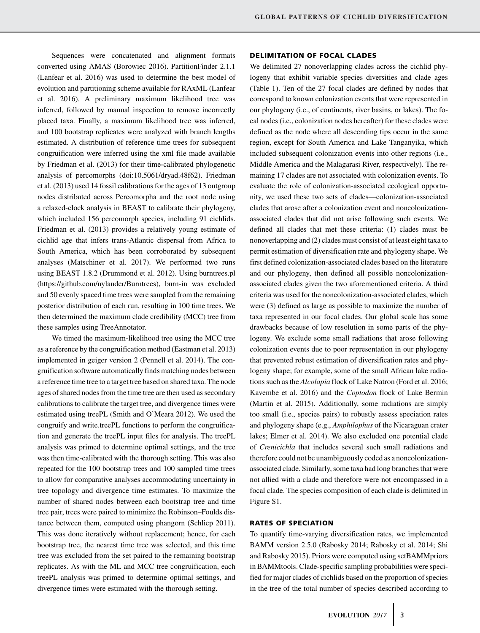Sequences were concatenated and alignment formats converted using AMAS (Borowiec 2016). PartitionFinder 2.1.1 (Lanfear et al. 2016) was used to determine the best model of evolution and partitioning scheme available for RAxML (Lanfear et al. 2016). A preliminary maximum likelihood tree was inferred, followed by manual inspection to remove incorrectly placed taxa. Finally, a maximum likelihood tree was inferred, and 100 bootstrap replicates were analyzed with branch lengths estimated. A distribution of reference time trees for subsequent congruification were inferred using the xml file made available by Friedman et al. (2013) for their time-calibrated phylogenetic analysis of percomorphs (doi[:10.5061/dryad.48f62\)](http://10.5061/dryad.48f62). Friedman et al. (2013) used 14 fossil calibrations for the ages of 13 outgroup nodes distributed across Percomorpha and the root node using a relaxed-clock analysis in BEAST to calibrate their phylogeny, which included 156 percomorph species, including 91 cichlids. Friedman et al. (2013) provides a relatively young estimate of cichlid age that infers trans-Atlantic dispersal from Africa to South America, which has been corroborated by subsequent analyses (Matschiner et al. 2017). We performed two runs using BEAST 1.8.2 (Drummond et al. 2012). Using burntrees.pl [\(https://github.com/nylander/Burntrees\)](https://github.com/nylander/Burntrees), burn-in was excluded and 50 evenly spaced time trees were sampled from the remaining posterior distribution of each run, resulting in 100 time trees. We then determined the maximum clade credibility (MCC) tree from these samples using TreeAnnotator.

We timed the maximum-likelihood tree using the MCC tree as a reference by the congruification method (Eastman et al. 2013) implemented in geiger version 2 (Pennell et al. 2014). The congruification software automatically finds matching nodes between a reference time tree to a target tree based on shared taxa. The node ages of shared nodes from the time tree are then used as secondary calibrations to calibrate the target tree, and divergence times were estimated using treePL (Smith and O'Meara 2012). We used the congruify and write.treePL functions to perform the congruification and generate the treePL input files for analysis. The treePL analysis was primed to determine optimal settings, and the tree was then time-calibrated with the thorough setting. This was also repeated for the 100 bootstrap trees and 100 sampled time trees to allow for comparative analyses accommodating uncertainty in tree topology and divergence time estimates. To maximize the number of shared nodes between each bootstrap tree and time tree pair, trees were paired to minimize the Robinson–Foulds distance between them, computed using phangorn (Schliep 2011). This was done iteratively without replacement; hence, for each bootstrap tree, the nearest time tree was selected, and this time tree was excluded from the set paired to the remaining bootstrap replicates. As with the ML and MCC tree congruification, each treePL analysis was primed to determine optimal settings, and divergence times were estimated with the thorough setting.

#### **DELIMITATION OF FOCAL CLADES**

We delimited 27 nonoverlapping clades across the cichlid phylogeny that exhibit variable species diversities and clade ages (Table 1). Ten of the 27 focal clades are defined by nodes that correspond to known colonization events that were represented in our phylogeny (i.e., of continents, river basins, or lakes). The focal nodes (i.e., colonization nodes hereafter) for these clades were defined as the node where all descending tips occur in the same region, except for South America and Lake Tanganyika, which included subsequent colonization events into other regions (i.e., Middle America and the Malagarasi River, respectively). The remaining 17 clades are not associated with colonization events. To evaluate the role of colonization-associated ecological opportunity, we used these two sets of clades—colonization-associated clades that arose after a colonization event and noncolonizationassociated clades that did not arise following such events. We defined all clades that met these criteria: (1) clades must be nonoverlapping and (2) clades must consist of at least eight taxa to permit estimation of diversification rate and phylogeny shape. We first defined colonization-associated clades based on the literature and our phylogeny, then defined all possible noncolonizationassociated clades given the two aforementioned criteria. A third criteria was used for the noncolonization-associated clades, which were (3) defined as large as possible to maximize the number of taxa represented in our focal clades. Our global scale has some drawbacks because of low resolution in some parts of the phylogeny. We exclude some small radiations that arose following colonization events due to poor representation in our phylogeny that prevented robust estimation of diversification rates and phylogeny shape; for example, some of the small African lake radiations such as the *Alcolapia* flock of Lake Natron (Ford et al. 2016; Kavembe et al. 2016) and the *Coptodon* flock of Lake Bermin (Martin et al. 2015). Additionally, some radiations are simply too small (i.e., species pairs) to robustly assess speciation rates and phylogeny shape (e.g., *Amphilophus* of the Nicaraguan crater lakes; Elmer et al. 2014). We also excluded one potential clade of *Crenicichla* that includes several such small radiations and therefore could not be unambiguously coded as a noncolonizationassociated clade. Similarly, some taxa had long branches that were not allied with a clade and therefore were not encompassed in a focal clade. The species composition of each clade is delimited in Figure S1.

#### **RATES OF SPECIATION**

To quantify time-varying diversification rates, we implemented BAMM version 2.5.0 (Rabosky 2014; Rabosky et al. 2014; Shi and Rabosky 2015). Priors were computed using setBAMMpriors in BAMMtools. Clade-specific sampling probabilities were specified for major clades of cichlids based on the proportion of species in the tree of the total number of species described according to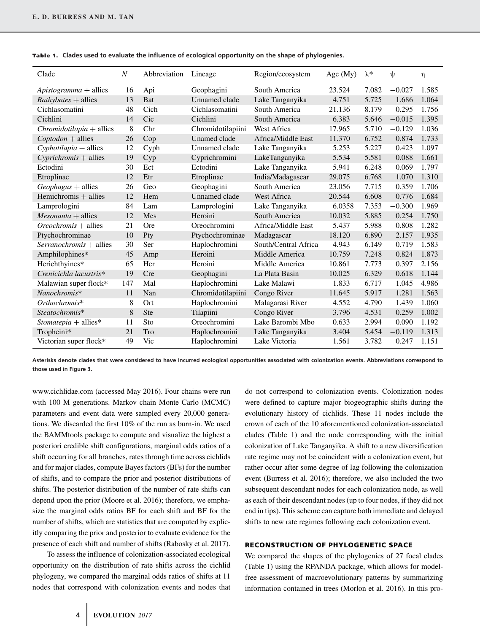| Clade                           | N   | Abbreviation | Lineage              | Region/ecosystem     | Age $(My)$ | $\lambda^*$ | $\psi$   | η     |
|---------------------------------|-----|--------------|----------------------|----------------------|------------|-------------|----------|-------|
| $A$ <i>pistogramma</i> + allies | 16  | Api          | Geophagini           | South America        | 23.524     | 7.082       | $-0.027$ | 1.585 |
| $Bathy bates + allies$          | 13  | Bat          | <b>Unnamed</b> clade | Lake Tanganyika      | 4.751      | 5.725       | 1.686    | 1.064 |
| Cichlasomatini                  | 48  | Cich         | Cichlasomatini       | South America        | 21.136     | 8.179       | 0.295    | 1.756 |
| Cichlini                        | 14  | Cic          | Cichlini             | South America        | 6.383      | 5.646       | $-0.015$ | 1.395 |
| $Chromidotilapia + allies$      | 8   | Chr          | Chromidotilapiini    | West Africa          | 17.965     | 5.710       | $-0.129$ | 1.036 |
| $Coptodon + \text{allies}$      | 26  | Cop          | Unamed clade         | Africa/Middle East   | 11.370     | 6.752       | 0.874    | 1.733 |
| $Cyphotilapia + allies$         | 12  | Cyph         | <b>Unnamed</b> clade | Lake Tanganyika      | 5.253      | 5.227       | 0.423    | 1.097 |
| $Cyprichromis + allies$         | 19  | Cyp          | Cyprichromini        | LakeTanganyika       | 5.534      | 5.581       | 0.088    | 1.661 |
| Ectodini                        | 30  | Ect          | Ectodini             | Lake Tanganyika      | 5.941      | 6.248       | 0.069    | 1.797 |
| Etroplinae                      | 12  | Etr          | Etroplinae           | India/Madagascar     | 29.075     | 6.768       | 1.070    | 1.310 |
| $Geophagus + \text{allies}$     | 26  | Geo          | Geophagini           | South America        | 23.056     | 7.715       | 0.359    | 1.706 |
| Hemichromis $+$ allies          | 12  | Hem          | <b>Unnamed</b> clade | <b>West Africa</b>   | 20.544     | 6.608       | 0.776    | 1.684 |
| Lamprologini                    | 84  | Lam          | Lamprologini         | Lake Tanganyika      | 6.0358     | 7.353       | $-0.300$ | 1.969 |
| $Mesonauta + allies$            | 12  | Mes          | Heroini              | South America        | 10.032     | 5.885       | 0.254    | 1.750 |
| $Oreochromis + allies$          | 21  | Ore          | Oreochromini         | Africa/Middle East   | 5.437      | 5.988       | 0.808    | 1.282 |
| Ptychochrominae                 | 10  | Pty          | Ptychochrominae      | Madagascar           | 18.120     | 6.890       | 2.157    | 1.935 |
| Serranochromis + allies         | 30  | Ser          | Haplochromini        | South/Central Africa | 4.943      | 6.149       | 0.719    | 1.583 |
| Amphilophines*                  | 45  | Amp          | Heroini              | Middle America       | 10.759     | 7.248       | 0.824    | 1.873 |
| Herichthyines*                  | 65  | Her          | Heroini              | Middle America       | 10.861     | 7.773       | 0.397    | 2.156 |
| Crenicichla lacustris*          | 19  | <b>Cre</b>   | Geophagini           | La Plata Basin       | 10.025     | 6.329       | 0.618    | 1.144 |
| Malawian super flock*           | 147 | Mal          | Haplochromini        | Lake Malawi          | 1.833      | 6.717       | 1.045    | 4.986 |
| Nanochromis*                    | 11  | Nan          | Chromidotilapiini    | Congo River          | 11.645     | 5.917       | 1.281    | 1.563 |
| Orthochromis*                   | 8   | Ort          | Haplochromini        | Malagarasi River     | 4.552      | 4.790       | 1.439    | 1.060 |
| Steatochromis*                  | 8   | <b>Ste</b>   | Tilapiini            | Congo River          | 3.796      | 4.531       | 0.259    | 1.002 |
| $Stomatepia + allies*$          | 11  | Sto          | Oreochromini         | Lake Barombi Mbo     | 0.633      | 2.994       | 0.090    | 1.192 |
| Tropheini*                      | 21  | Tro          | Haplochromini        | Lake Tanganyika      | 3.404      | 5.454       | $-0.119$ | 1.313 |
| Victorian super flock*          | 49  | Vic          | Haplochromini        | Lake Victoria        | 1.561      | 3.782       | 0.247    | 1.151 |

**Table 1.** Clades used to evaluate the influence of ecological opportunity on the shape of phylogenies.

**Asterisks denote clades that were considered to have incurred ecological opportunities associated with colonization events. Abbreviations correspond to those used in Figure 3.**

[www.cichlidae.com](http://www.cichlidae.com) (accessed May 2016). Four chains were run with 100 M generations. Markov chain Monte Carlo (MCMC) parameters and event data were sampled every 20,000 generations. We discarded the first 10% of the run as burn-in. We used the BAMMtools package to compute and visualize the highest a posteriori credible shift configurations, marginal odds ratios of a shift occurring for all branches, rates through time across cichlids and for major clades, compute Bayes factors (BFs) for the number of shifts, and to compare the prior and posterior distributions of shifts. The posterior distribution of the number of rate shifts can depend upon the prior (Moore et al. 2016); therefore, we emphasize the marginal odds ratios BF for each shift and BF for the number of shifts, which are statistics that are computed by explicitly comparing the prior and posterior to evaluate evidence for the presence of each shift and number of shifts (Rabosky et al. 2017).

To assess the influence of colonization-associated ecological opportunity on the distribution of rate shifts across the cichlid phylogeny, we compared the marginal odds ratios of shifts at 11 nodes that correspond with colonization events and nodes that

do not correspond to colonization events. Colonization nodes were defined to capture major biogeographic shifts during the evolutionary history of cichlids. These 11 nodes include the crown of each of the 10 aforementioned colonization-associated clades (Table 1) and the node corresponding with the initial colonization of Lake Tanganyika. A shift to a new diversification rate regime may not be coincident with a colonization event, but rather occur after some degree of lag following the colonization event (Burress et al. 2016); therefore, we also included the two subsequent descendant nodes for each colonization node, as well as each of their descendant nodes (up to four nodes, if they did not end in tips). This scheme can capture both immediate and delayed shifts to new rate regimes following each colonization event.

#### **RECONSTRUCTION OF PHYLOGENETIC SPACE**

We compared the shapes of the phylogenies of 27 focal clades (Table 1) using the RPANDA package, which allows for modelfree assessment of macroevolutionary patterns by summarizing information contained in trees (Morlon et al. 2016). In this pro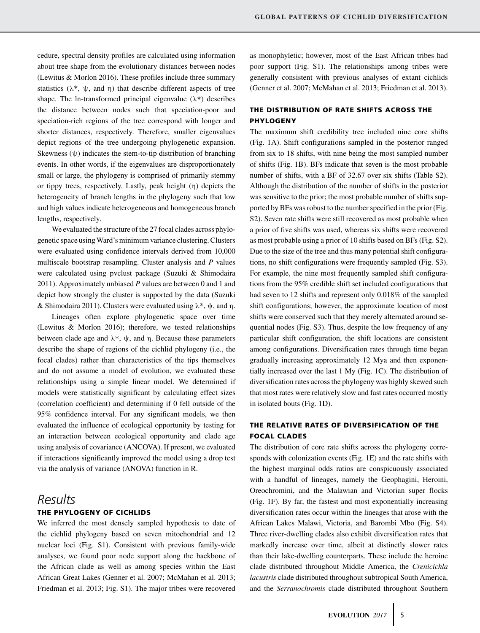cedure, spectral density profiles are calculated using information about tree shape from the evolutionary distances between nodes (Lewitus & Morlon 2016). These profiles include three summary statistics ( $\lambda^*$ ,  $\psi$ , and  $\eta$ ) that describe different aspects of tree shape. The ln-transformed principal eigenvalue  $(\lambda^*)$  describes the distance between nodes such that speciation-poor and speciation-rich regions of the tree correspond with longer and shorter distances, respectively. Therefore, smaller eigenvalues depict regions of the tree undergoing phylogenetic expansion. Skewness  $(\psi)$  indicates the stem-to-tip distribution of branching events. In other words, if the eigenvalues are disproportionately small or large, the phylogeny is comprised of primarily stemmy or tippy trees, respectively. Lastly, peak height (η) depicts the heterogeneity of branch lengths in the phylogeny such that low and high values indicate heterogeneous and homogeneous branch lengths, respectively.

We evaluated the structure of the 27 focal clades across phylogenetic space usingWard's minimum variance clustering. Clusters were evaluated using confidence intervals derived from 10,000 multiscale bootstrap resampling. Cluster analysis and *P* values were calculated using pvclust package (Suzuki & Shimodaira 2011). Approximately unbiased *P* values are between 0 and 1 and depict how strongly the cluster is supported by the data (Suzuki & Shimodaira 2011). Clusters were evaluated using  $\lambda^*$ ,  $\psi$ , and n.

Lineages often explore phylogenetic space over time (Lewitus & Morlon 2016); therefore, we tested relationships between clade age and λ∗, ψ, and η. Because these parameters describe the shape of regions of the cichlid phylogeny (i.e., the focal clades) rather than characteristics of the tips themselves and do not assume a model of evolution, we evaluated these relationships using a simple linear model. We determined if models were statistically significant by calculating effect sizes (correlation coefficient) and determining if 0 fell outside of the 95% confidence interval. For any significant models, we then evaluated the influence of ecological opportunity by testing for an interaction between ecological opportunity and clade age using analysis of covariance (ANCOVA). If present, we evaluated if interactions significantly improved the model using a drop test via the analysis of variance (ANOVA) function in R.

# *Results* **THE PHYLOGENY OF CICHLIDS**

We inferred the most densely sampled hypothesis to date of the cichlid phylogeny based on seven mitochondrial and 12 nuclear loci (Fig. S1). Consistent with previous family-wide analyses, we found poor node support along the backbone of the African clade as well as among species within the East African Great Lakes (Genner et al. 2007; McMahan et al. 2013; Friedman et al. 2013; Fig. S1). The major tribes were recovered

as monophyletic; however, most of the East African tribes had poor support (Fig. S1). The relationships among tribes were generally consistent with previous analyses of extant cichlids (Genner et al. 2007; McMahan et al. 2013; Friedman et al. 2013).

# **THE DISTRIBUTION OF RATE SHIFTS ACROSS THE PHYLOGENY**

The maximum shift credibility tree included nine core shifts (Fig. 1A). Shift configurations sampled in the posterior ranged from six to 18 shifts, with nine being the most sampled number of shifts (Fig. 1B). BFs indicate that seven is the most probable number of shifts, with a BF of 32.67 over six shifts (Table S2). Although the distribution of the number of shifts in the posterior was sensitive to the prior; the most probable number of shifts supported by BFs was robust to the number specified in the prior (Fig. S2). Seven rate shifts were still recovered as most probable when a prior of five shifts was used, whereas six shifts were recovered as most probable using a prior of 10 shifts based on BFs (Fig. S2). Due to the size of the tree and thus many potential shift configurations, no shift configurations were frequently sampled (Fig. S3). For example, the nine most frequently sampled shift configurations from the 95% credible shift set included configurations that had seven to 12 shifts and represent only 0.018% of the sampled shift configurations; however, the approximate location of most shifts were conserved such that they merely alternated around sequential nodes (Fig. S3). Thus, despite the low frequency of any particular shift configuration, the shift locations are consistent among configurations. Diversification rates through time began gradually increasing approximately 12 Mya and then exponentially increased over the last 1 My (Fig. 1C). The distribution of diversification rates across the phylogeny was highly skewed such that most rates were relatively slow and fast rates occurred mostly in isolated bouts (Fig. 1D).

## **THE RELATIVE RATES OF DIVERSIFICATION OF THE FOCAL CLADES**

The distribution of core rate shifts across the phylogeny corresponds with colonization events (Fig. 1E) and the rate shifts with the highest marginal odds ratios are conspicuously associated with a handful of lineages, namely the Geophagini, Heroini, Oreochromini, and the Malawian and Victorian super flocks (Fig. 1F). By far, the fastest and most exponentially increasing diversification rates occur within the lineages that arose with the African Lakes Malawi, Victoria, and Barombi Mbo (Fig. S4). Three river-dwelling clades also exhibit diversification rates that markedly increase over time, albeit at distinctly slower rates than their lake-dwelling counterparts. These include the heroine clade distributed throughout Middle America, the *Crenicichla lacustris* clade distributed throughout subtropical South America, and the *Serranochromis* clade distributed throughout Southern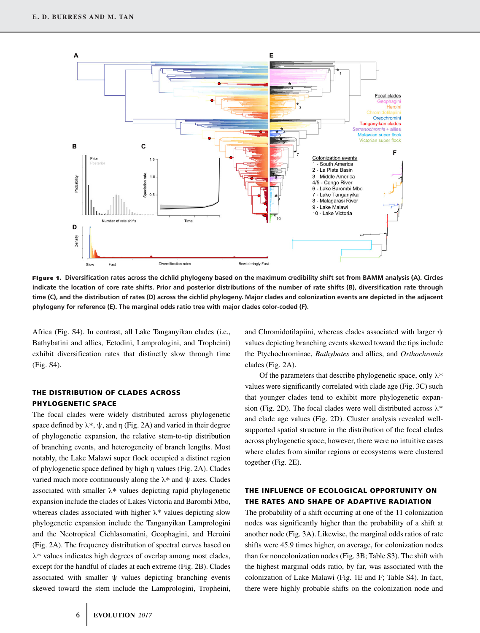

**Figure 1. Diversification rates across the cichlid phylogeny based on the maximum credibility shift set from BAMM analysis (A). Circles indicate the location of core rate shifts. Prior and posterior distributions of the number of rate shifts (B), diversification rate through time (C), and the distribution of rates (D) across the cichlid phylogeny. Major clades and colonization events are depicted in the adjacent phylogeny for reference (E). The marginal odds ratio tree with major clades color-coded (F).**

Africa (Fig. S4). In contrast, all Lake Tanganyikan clades (i.e., Bathybatini and allies, Ectodini, Lamprologini, and Tropheini) exhibit diversification rates that distinctly slow through time (Fig. S4).

### **THE DISTRIBUTION OF CLADES ACROSS PHYLOGENETIC SPACE**

The focal clades were widely distributed across phylogenetic space defined by  $\lambda^*$ ,  $\psi$ , and  $\eta$  (Fig. 2A) and varied in their degree of phylogenetic expansion, the relative stem-to-tip distribution of branching events, and heterogeneity of branch lengths. Most notably, the Lake Malawi super flock occupied a distinct region of phylogenetic space defined by high η values (Fig. 2A). Clades varied much more continuously along the  $\lambda^*$  and  $\psi$  axes. Clades associated with smaller λ∗ values depicting rapid phylogenetic expansion include the clades of Lakes Victoria and Barombi Mbo, whereas clades associated with higher  $\lambda^*$  values depicting slow phylogenetic expansion include the Tanganyikan Lamprologini and the Neotropical Cichlasomatini, Geophagini, and Heroini (Fig. 2A). The frequency distribution of spectral curves based on λ∗ values indicates high degrees of overlap among most clades, except for the handful of clades at each extreme (Fig. 2B). Clades associated with smaller  $\psi$  values depicting branching events skewed toward the stem include the Lamprologini, Tropheini,

and Chromidotilapiini, whereas clades associated with larger ψ values depicting branching events skewed toward the tips include the Ptychochrominae, *Bathybates* and allies, and *Orthochromis* clades (Fig. 2A).

Of the parameters that describe phylogenetic space, only  $\lambda^*$ values were significantly correlated with clade age (Fig. 3C) such that younger clades tend to exhibit more phylogenetic expansion (Fig. 2D). The focal clades were well distributed across  $\lambda^*$ and clade age values (Fig. 2D). Cluster analysis revealed wellsupported spatial structure in the distribution of the focal clades across phylogenetic space; however, there were no intuitive cases where clades from similar regions or ecosystems were clustered together (Fig. 2E).

## **THE INFLUENCE OF ECOLOGICAL OPPORTUNITY ON THE RATES AND SHAPE OF ADAPTIVE RADIATION**

The probability of a shift occurring at one of the 11 colonization nodes was significantly higher than the probability of a shift at another node (Fig. 3A). Likewise, the marginal odds ratios of rate shifts were 45.9 times higher, on average, for colonization nodes than for noncolonization nodes (Fig. 3B; Table S3). The shift with the highest marginal odds ratio, by far, was associated with the colonization of Lake Malawi (Fig. 1E and F; Table S4). In fact, there were highly probable shifts on the colonization node and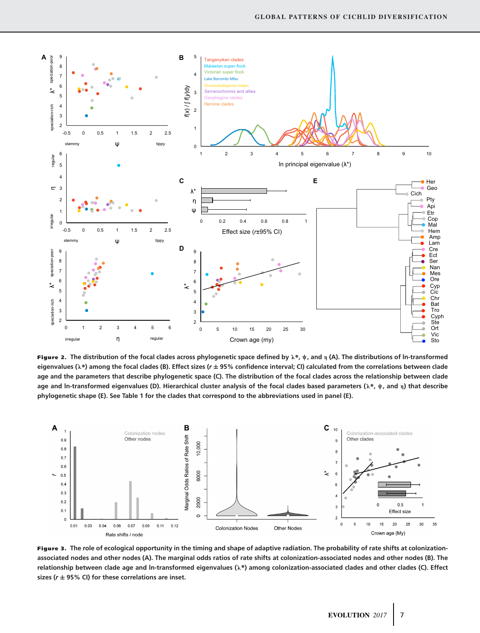

**Figure 2. The distribution of the focal clades across phylogenetic space defined by λ∗, ψ, and η (A). The distributions of ln-transformed eigenvalues (λ∗) among the focal clades (B). Effect sizes (***r* **± 95% confidence interval; Cl) calculated from the correlations between clade age and the parameters that describe phylogenetic space (C). The distribution of the focal clades across the relationship between clade age and ln-transformed eigenvalues (D). Hierarchical cluster analysis of the focal clades based parameters (λ∗, ψ, and η) that describe phylogenetic shape (E). See Table 1 for the clades that correspond to the abbreviations used in panel (E).**



**Figure 3. The role of ecological opportunity in the timing and shape of adaptive radiation. The probability of rate shifts at colonizationassociated nodes and other nodes (A). The marginal odds ratios of rate shifts at colonization-associated nodes and other nodes (B). The relationship between clade age and ln-transformed eigenvalues (λ∗) among colonization-associated clades and other clades (C). Effect sizes (***r* **± 95% CI) for these correlations are inset.**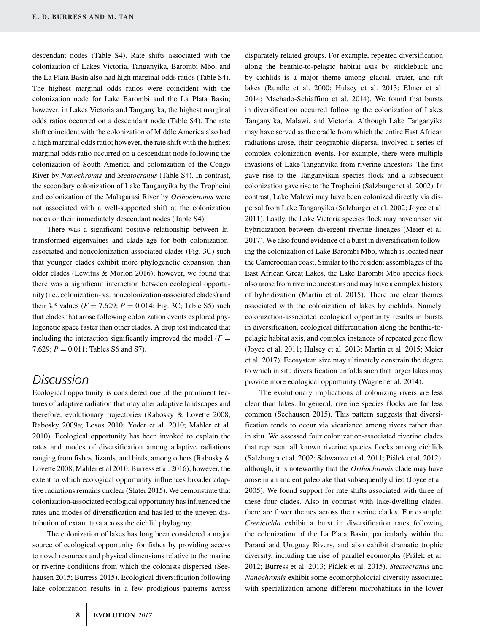descendant nodes (Table S4). Rate shifts associated with the colonization of Lakes Victoria, Tanganyika, Barombi Mbo, and the La Plata Basin also had high marginal odds ratios (Table S4). The highest marginal odds ratios were coincident with the colonization node for Lake Barombi and the La Plata Basin; however, in Lakes Victoria and Tanganyika, the highest marginal odds ratios occurred on a descendant node (Table S4). The rate shift coincident with the colonization of Middle America also had a high marginal odds ratio; however, the rate shift with the highest marginal odds ratio occurred on a descendant node following the colonization of South America and colonization of the Congo River by *Nanochromis* and *Steatocranus* (Table S4). In contrast, the secondary colonization of Lake Tanganyika by the Tropheini and colonization of the Malagarasi River by *Orthochromis* were not associated with a well-supported shift at the colonization nodes or their immediately descendant nodes (Table S4).

There was a significant positive relationship between lntransformed eigenvalues and clade age for both colonizationassociated and noncolonization-associated clades (Fig. 3C) such that younger clades exhibit more phylogenetic expansion than older clades (Lewitus & Morlon 2016); however, we found that there was a significant interaction between ecological opportunity (i.e., colonization- vs. noncolonization-associated clades) and their  $\lambda^*$  values ( $F = 7.629$ ;  $P = 0.014$ ; Fig. 3C; Table S5) such that clades that arose following colonization events explored phylogenetic space faster than other clades. A drop test indicated that including the interaction significantly improved the model  $(F =$ 7.629;  $P = 0.011$ ; Tables S6 and S7).

# *Discussion*

Ecological opportunity is considered one of the prominent features of adaptive radiation that may alter adaptive landscapes and therefore, evolutionary trajectories (Rabosky & Lovette 2008; Rabosky 2009a; Losos 2010; Yoder et al. 2010; Mahler et al. 2010). Ecological opportunity has been invoked to explain the rates and modes of diversification among adaptive radiations ranging from fishes, lizards, and birds, among others (Rabosky & Lovette 2008; Mahler et al 2010; Burress et al. 2016); however, the extent to which ecological opportunity influences broader adaptive radiations remains unclear (Slater 2015). We demonstrate that colonization-associated ecological opportunity has influenced the rates and modes of diversification and has led to the uneven distribution of extant taxa across the cichlid phylogeny.

The colonization of lakes has long been considered a major source of ecological opportunity for fishes by providing access to novel resources and physical dimensions relative to the marine or riverine conditions from which the colonists dispersed (Seehausen 2015; Burress 2015). Ecological diversification following lake colonization results in a few prodigious patterns across

along the benthic-to-pelagic habitat axis by stickleback and by cichlids is a major theme among glacial, crater, and rift lakes (Rundle et al. 2000; Hulsey et al. 2013; Elmer et al. 2014; Machado-Schiaffino et al. 2014). We found that bursts in diversification occurred following the colonization of Lakes Tanganyika, Malawi, and Victoria. Although Lake Tanganyika may have served as the cradle from which the entire East African radiations arose, their geographic dispersal involved a series of complex colonization events. For example, there were multiple invasions of Lake Tanganyika from riverine ancestors. The first gave rise to the Tanganyikan species flock and a subsequent colonization gave rise to the Tropheini (Salzburger et al. 2002). In contrast, Lake Malawi may have been colonized directly via dispersal from Lake Tanganyika (Salzburger et al. 2002; Joyce et al. 2011). Lastly, the Lake Victoria species flock may have arisen via hybridization between divergent riverine lineages (Meier et al. 2017). We also found evidence of a burst in diversification following the colonization of Lake Barombi Mbo, which is located near the Cameroonian coast. Similar to the resident assemblages of the East African Great Lakes, the Lake Barombi Mbo species flock also arose from riverine ancestors and may have a complex history of hybridization (Martin et al. 2015). There are clear themes associated with the colonization of lakes by cichlids. Namely, colonization-associated ecological opportunity results in bursts in diversification, ecological differentiation along the benthic-topelagic habitat axis, and complex instances of repeated gene flow (Joyce et al. 2011; Hulsey et al. 2013; Martin et al. 2015; Meier et al. 2017). Ecosystem size may ultimately constrain the degree to which in situ diversification unfolds such that larger lakes may provide more ecological opportunity (Wagner et al. 2014).

disparately related groups. For example, repeated diversification

The evolutionary implications of colonizing rivers are less clear than lakes. In general, riverine species flocks are far less common (Seehausen 2015). This pattern suggests that diversification tends to occur via vicariance among rivers rather than in situ. We assessed four colonization-associated riverine clades that represent all known riverine species flocks among cichlids (Salzburger et al. 2002; Schwarzer et al. 2011; Piálek et al. 2012); although, it is noteworthy that the *Orthochromis* clade may have arose in an ancient paleolake that subsequently dried (Joyce et al. 2005). We found support for rate shifts associated with three of these four clades. Also in contrast with lake-dwelling clades, there are fewer themes across the riverine clades. For example, *Crenicichla* exhibit a burst in diversification rates following the colonization of the La Plata Basin, particularly within the Paraná and Uruguay Rivers, and also exhibit dramatic trophic diversity, including the rise of parallel ecomorphs (Piálek et al. 2012; Burress et al. 2013; Piálek et al. 2015). Steatocranus and *Nanochromis* exhibit some ecomorpholocial diversity associated with specialization among different microhabitats in the lower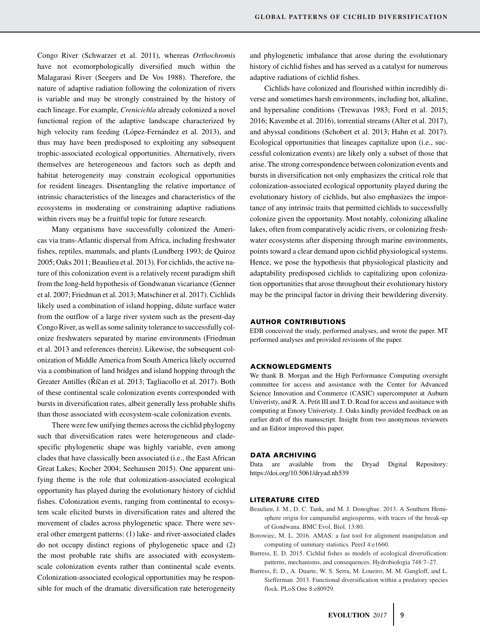Congo River (Schwarzer et al. 2011), whereas *Orthochromis* have not ecomorphologically diversified much within the Malagarasi River (Seegers and De Vos 1988). Therefore, the nature of adaptive radiation following the colonization of rivers is variable and may be strongly constrained by the history of each lineage. For example, *Crenicichla* already colonized a novel functional region of the adaptive landscape characterized by high velocity ram feeding (López-Fernández et al. 2013), and thus may have been predisposed to exploiting any subsequent trophic-associated ecological opportunities. Alternatively, rivers themselves are heterogeneous and factors such as depth and habitat heterogeneity may constrain ecological opportunities for resident lineages. Disentangling the relative importance of intrinsic characteristics of the lineages and characteristics of the ecosystems in moderating or constraining adaptive radiations within rivers may be a fruitful topic for future research.

Many organisms have successfully colonized the Americas via trans-Atlantic dispersal from Africa, including freshwater fishes, reptiles, mammals, and plants (Lundberg 1993; de Quiroz 2005; Oaks 2011; Beaulieu et al. 2013). For cichlids, the active nature of this colonization event is a relatively recent paradigm shift from the long-held hypothesis of Gondwanan vicariance (Genner et al. 2007; Friedman et al. 2013; Matschiner et al. 2017). Cichlids likely used a combination of island hopping, dilute surface water from the outflow of a large river system such as the present-day Congo River, as well as some salinity tolerance to successfully colonize freshwaters separated by marine environments (Friedman et al. 2013 and references therein). Likewise, the subsequent colonization of Middle America from South America likely occurred via a combination of land bridges and island hopping through the Greater Antilles (Říčan et al. 2013; Tagliacollo et al. 2017). Both of these continental scale colonization events corresponded with bursts in diversification rates, albeit generally less probable shifts than those associated with ecosystem-scale colonization events.

There were few unifying themes across the cichlid phylogeny such that diversification rates were heterogeneous and cladespecific phylogenetic shape was highly variable, even among clades that have classically been associated (i.e., the East African Great Lakes; Kocher 2004; Seehausen 2015). One apparent unifying theme is the role that colonization-associated ecological opportunity has played during the evolutionary history of cichlid fishes. Colonization events, ranging from continental to ecosystem scale elicited bursts in diversification rates and altered the movement of clades across phylogenetic space. There were several other emergent patterns: (1) lake- and river-associated clades do not occupy distinct regions of phylogenetic space and (2) the most probable rate shifts are associated with ecosystemscale colonization events rather than continental scale events. Colonization-associated ecological opportunities may be responsible for much of the dramatic diversification rate heterogeneity

and phylogenetic imbalance that arose during the evolutionary history of cichlid fishes and has served as a catalyst for numerous adaptive radiations of cichlid fishes.

Cichlids have colonized and flourished within incredibly diverse and sometimes harsh environments, including hot, alkaline, and hypersaline conditions (Trewavas 1983; Ford et al. 2015; 2016; Kavembe et al. 2016), torrential streams (Alter et al. 2017), and abyssal conditions (Schobert et al. 2013; Hahn et al. 2017). Ecological opportunities that lineages capitalize upon (i.e., successful colonization events) are likely only a subset of those that arise. The strong correspondence between colonization events and bursts in diversification not only emphasizes the critical role that colonization-associated ecological opportunity played during the evolutionary history of cichlids, but also emphasizes the importance of any intrinsic traits that permitted cichlids to successfully colonize given the opportunity. Most notably, colonizing alkaline lakes, often from comparatively acidic rivers, or colonizing freshwater ecosystems after dispersing through marine environments, points toward a clear demand upon cichlid physiological systems. Hence, we pose the hypothesis that physiological plasticity and adaptability predisposed cichlids to capitalizing upon colonization opportunities that arose throughout their evolutionary history may be the principal factor in driving their bewildering diversity.

#### **AUTHOR CONTRIBUTIONS**

EDB conceived the study, performed analyses, and wrote the paper. MT performed analyses and provided revisions of the paper.

#### **ACKNOWLEDGMENTS**

We thank B. Morgan and the High Performance Computing oversight committee for access and assistance with the Center for Advanced Science Innovation and Commerce (CASIC) supercomputer at Auburn Univeristy, and R. A. Petit III and T. D. Read for access and assitance with computing at Emory Univeristy. J. Oaks kindly provided feedback on an earlier draft of this manuscript. Insight from two anonymous reviewers and an Editor improved this paper.

#### **DATA ARCHIVING**

Data are available from the Dryad Digital Repository: <https://doi.org/10.5061/dryad.nh539>

#### **LITERATURE CITED**

- Beaulieu, J. M., D. C. Tank, and M. J. Donoghue. 2013. A Southern Hemisphere origin for campanulid angiosperms, with traces of the break-up of Gondwana. BMC Evol. Biol. 13:80.
- Borowiec, M. L. 2016. AMAS: a fast tool for alignment manipulation and computing of summary statistics. PeerJ 4:e1660.
- Burress, E. D. 2015. Cichlid fishes as models of ecological diversification: patterns, mechanisms, and consequences. Hydrobiologia 748:7–27.
- Burress, E. D., A. Duarte, W. S. Serra, M. Loueiro, M. M. Gangloff, and L. Siefferman. 2013. Functional diversification within a predatory species flock. PLoS One 8:e80929.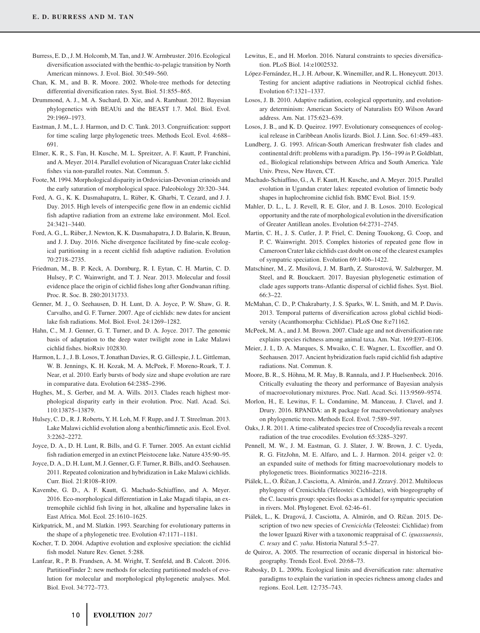- Burress, E. D., J. M. Holcomb, M. Tan, and J. W. Armbruster. 2016. Ecological diversification associated with the benthic-to-pelagic transition by North American minnows. J. Evol. Biol. 30:549–560.
- Chan, K. M., and B. R. Moore. 2002. Whole-tree methods for detecting differential diversification rates. Syst. Biol. 51:855–865.
- Drummond, A. J., M. A. Suchard, D. Xie, and A. Rambaut. 2012. Bayesian phylogenetics with BEAUti and the BEAST 1.7. Mol. Biol. Evol. 29:1969–1973.
- Eastman, J. M., L. J. Harmon, and D. C. Tank. 2013. Congruification: support for time scaling large phylogenetic trees. Methods Ecol. Evol. 4:688– 691.
- Elmer, K. R., S. Fan, H. Kusche, M. L. Spreitzer, A. F. Kautt, P. Franchini, and A. Meyer. 2014. Parallel evolution of Nicaraguan Crater lake cichlid fishes via non-parallel routes. Nat. Commun. 5.
- Foote, M. 1994. Morphological disparity in Ordovician-Devonian crinoids and the early saturation of morphological space. Paleobiology 20:320–344.
- Ford, A. G., K. K. Dasmahapatra, L. Rüber, K. Gharbi, T. Cezard, and J. J. Day. 2015. High levels of interspecific gene flow in an endemic cichlid fish adaptive radiation from an extreme lake environment. Mol. Ecol. 24:3421–3440.
- Ford, A. G., L. Ruber, J. Newton, K. K. Dasmahapatra, J. D. Balarin, K. Bruun, ¨ and J. J. Day. 2016. Niche divergence facilitated by fine-scale ecological partitioning in a recent cichlid fish adaptive radiation. Evolution 70:2718–2735.
- Friedman, M., B. P. Keck, A. Dornburg, R. I. Eytan, C. H. Martin, C. D. Hulsey, P. C. Wainwright, and T. J. Near. 2013. Molecular and fossil evidence place the origin of cichlid fishes long after Gondwanan rifting. Proc. R. Soc. B. 280:20131733.
- Genner, M. J., O. Seehausen, D. H. Lunt, D. A. Joyce, P. W. Shaw, G. R. Carvalho, and G. F. Turner. 2007. Age of cichlids: new dates for ancient lake fish radiations. Mol. Biol. Evol. 24:1269–1282.
- Hahn, C., M. J. Genner, G. T. Turner, and D. A. Joyce. 2017. The genomic basis of adaptation to the deep water twilight zone in Lake Malawi cichlid fishes. bioRxiv 102830.
- Harmon, L. J., J. B. Losos, T. Jonathan Davies, R. G. Gillespie, J. L. Gittleman, W. B. Jennings, K. H. Kozak, M. A. McPeek, F. Moreno-Roark, T. J. Near, et al. 2010. Early bursts of body size and shape evolution are rare in comparative data. Evolution 64:2385–2396.
- Hughes, M., S. Gerber, and M. A. Wills. 2013. Clades reach highest morphological disparity early in their evolution. Proc. Natl. Acad. Sci. 110:13875–13879.
- Hulsey, C. D., R. J. Roberts, Y. H. Loh, M. F. Rupp, and J. T. Streelman. 2013. Lake Malawi cichlid evolution along a benthic/limnetic axis. Ecol. Evol. 3:2262–2272.
- Joyce, D. A., D. H. Lunt, R. Bills, and G. F. Turner. 2005. An extant cichlid fish radiation emerged in an extinct Pleistocene lake. Nature 435:90–95.
- Joyce, D. A., D. H. Lunt, M. J. Genner, G. F. Turner, R. Bills, and O. Seehausen. 2011. Repeated colonization and hybridization in Lake Malawi cichlids. Curr. Biol. 21:R108–R109.
- Kavembe, G. D., A. F. Kautt, G. Machado-Schiaffino, and A. Meyer. 2016. Eco-morphological differentiation in Lake Magadi tilapia, an extremophile cichlid fish living in hot, alkaline and hypersaline lakes in East Africa. Mol. Ecol. 25:1610–1625.
- Kirkpatrick, M., and M. Slatkin. 1993. Searching for evolutionary patterns in the shape of a phylogenetic tree. Evolution 47:1171–1181.
- Kocher, T. D. 2004. Adaptive evolution and explosive speciation: the cichlid fish model. Nature Rev. Genet. 5:288.
- Lanfear, R., P. B. Frandsen, A. M. Wright, T. Senfeld, and B. Calcott. 2016. PartitionFinder 2: new methods for selecting partitioned models of evolution for molecular and morphological phylogenetic analyses. Mol. Biol. Evol. 34:772–773.
- Lewitus, E., and H. Morlon. 2016. Natural constraints to species diversification. PLoS Biol. 14:e1002532.
- López-Fernández, H., J. H. Arbour, K. Winemiller, and R. L. Honeycutt. 2013. Testing for ancient adaptive radiations in Neotropical cichlid fishes. Evolution 67:1321–1337.
- Losos, J. B. 2010. Adaptive radiation, ecological opportunity, and evolutionary determinism: American Society of Naturalists EO Wilson Award address. Am. Nat. 175:623–639.
- Losos, J. B., and K. D. Queiroz. 1997. Evolutionary consequences of ecological release in Caribbean Anolis lizards. Biol. J. Linn. Soc. 61:459–483.
- Lundberg, J. G. 1993. African-South American freshwater fish clades and continental drift: problems with a paradigm. Pp. 156–199 *in* P. Goldblatt, ed., Biological relationships between Africa and South America. Yale Univ. Press, New Haven, CT.
- Machado-Schiaffino, G., A. F. Kautt, H. Kusche, and A. Meyer. 2015. Parallel evolution in Ugandan crater lakes: repeated evolution of limnetic body shapes in haplochromine cichlid fish. BMC Evol. Biol. 15:9.
- Mahler, D. L., L. J. Revell, R. E. Glor, and J. B. Losos. 2010. Ecological opportunity and the rate of morphological evolution in the diversification of Greater Antillean anoles. Evolution 64:2731–2745.
- Martin, C. H., J. S. Cutler, J. P. Friel, C. Dening Touokong, G. Coop, and P. C. Wainwright. 2015. Complex histories of repeated gene flow in Cameroon Crater lake cichlids cast doubt on one of the clearest examples of sympatric speciation. Evolution 69:1406–1422.
- Matschiner, M., Z. Musilová, J. M. Barth, Z. Starostová, W. Salzburger, M. Steel, and R. Bouckaert. 2017. Bayesian phylogenetic estimation of clade ages supports trans-Atlantic dispersal of cichlid fishes. Syst. Biol. 66:3–22.
- McMahan, C. D., P. Chakrabarty, J. S. Sparks, W. L. Smith, and M. P. Davis. 2013. Temporal patterns of diversification across global cichlid biodiversity (Acanthomorpha: Cichlidae). PLoS One 8:e71162.
- McPeek, M. A., and J. M. Brown. 2007. Clade age and not diversification rate explains species richness among animal taxa. Am. Nat. 169:E97–E106.
- Meier, J. I., D. A. Marques, S. Mwaiko, C. E. Wagner, L. Excoffier, and O. Seehausen. 2017. Ancient hybridization fuels rapid cichlid fish adaptive radiations. Nat. Commun. 8.
- Moore, B. R., S. Höhna, M. R. May, B. Rannala, and J. P. Huelsenbeck. 2016. Critically evaluating the theory and performance of Bayesian analysis of macroevolutionary mixtures. Proc. Natl. Acad. Sci. 113:9569–9574.
- Morlon, H., E. Lewitus, F. L. Condamine, M. Manceau, J. Clavel, and J. Drury. 2016. RPANDA: an R package for macroevolutionary analyses on phylogenetic trees. Methods Ecol. Evol. 7:589–597.
- Oaks, J. R. 2011. A time-calibrated species tree of Crocodylia reveals a recent radiation of the true crocodiles. Evolution 65:3285–3297.
- Pennell, M. W., J. M. Eastman, G. J. Slater, J. W. Brown, J. C. Uyeda, R. G. FitzJohn, M. E. Alfaro, and L. J. Harmon. 2014. geiger v2. 0: an expanded suite of methods for fitting macroevolutionary models to phylogenetic trees. Bioinformatics 302216–2218.
- Piálek, L., O. Říčan, J. Casciotta, A. Almirón, and J. Zrzavý. 2012. Multilocus phylogeny of Crenicichla (Teleostei: Cichlidae), with biogeography of the C. lacustris group: species flocks as a model for sympatric speciation in rivers. Mol. Phylogenet. Evol. 62:46–61.
- Piálek, L., K. Dragová, J. Casciotta, A. Almirón, and O. Ríčan. 2015. Description of two new species of *Crenicichla* (Teleostei: Cichlidae) from the lower Iguazú River with a taxonomic reappraisal of *C. iguassuensis*, *C. tesay* and *C. yaha*. Historia Natural 5:5–27.
- de Quiroz, A. 2005. The resurrection of oceanic dispersal in historical biogeography. Trends Ecol. Evol. 20:68–73.
- Rabosky, D. L. 2009a. Ecological limits and diversification rate: alternative paradigms to explain the variation in species richness among clades and regions. Ecol. Lett. 12:735–743.